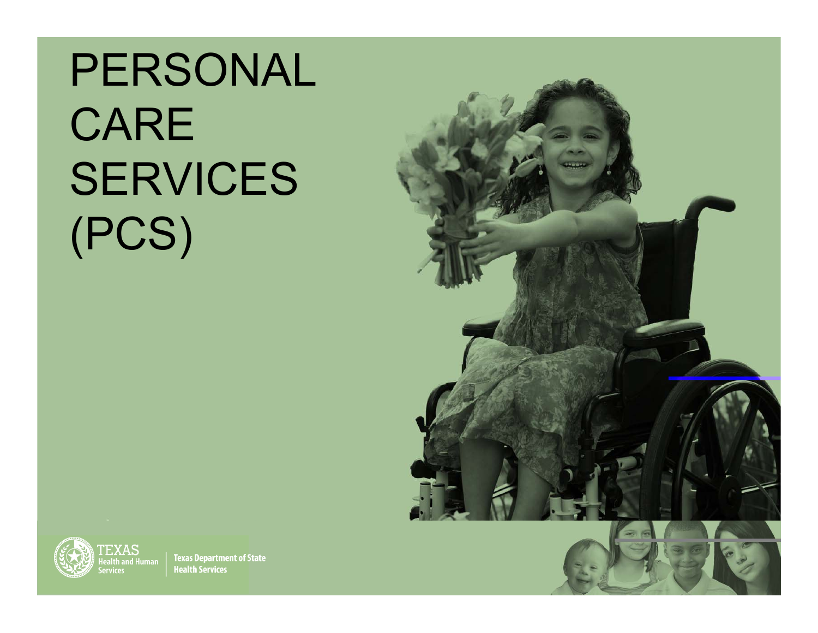PERSONAL CARE SERVICES (PCS)



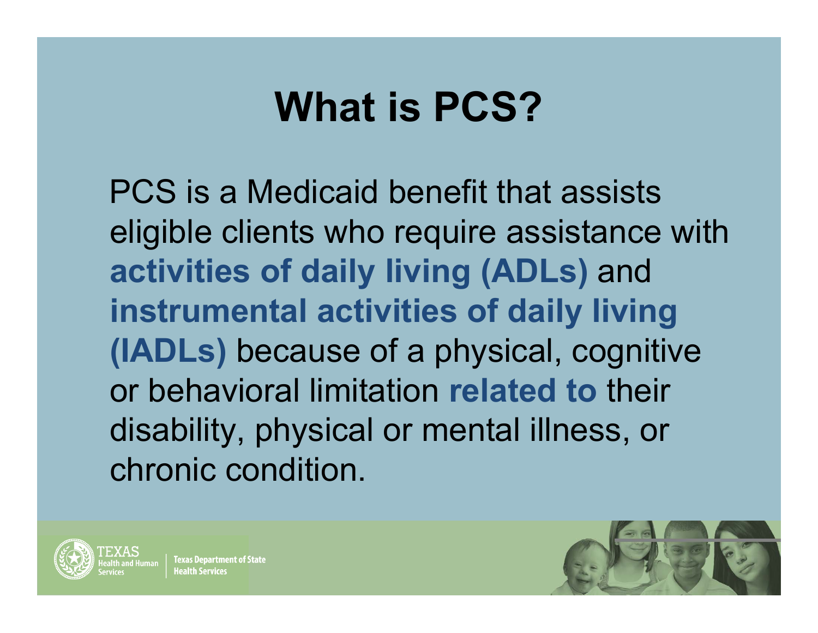## **What is PCS?**

PCS is a Medicaid benefit that assists eligible clients who require assistance with **activities of daily living (ADLs)** and **instrumental activities of daily living (IADLs)** because of a physical, cognitive or behavioral limitation **related to** their disability, physical or mental illness, or chronic condition.



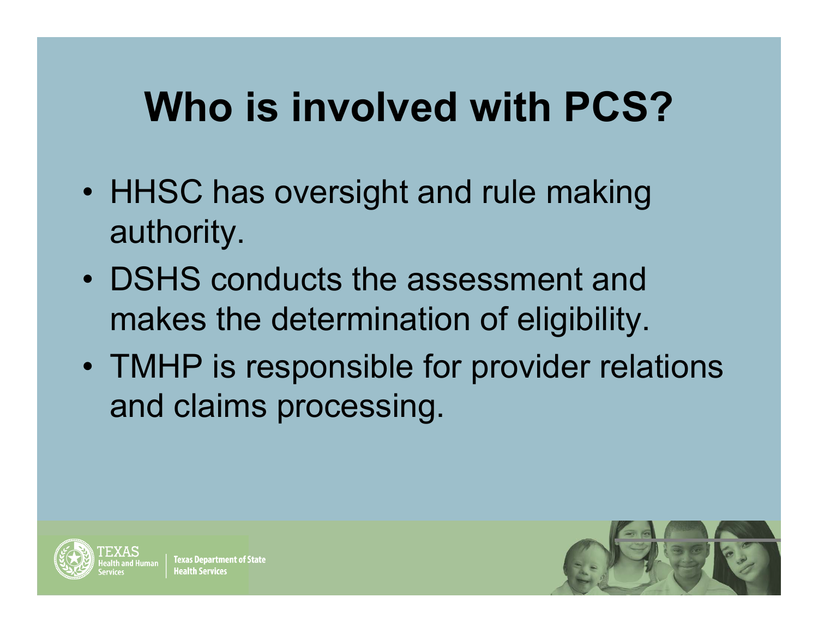## **Who is involved with PCS?**

- •• HHSC has oversight and rule making authority.
- DSHS conducts the assessment and makes the determination of eligibility.
- • TMHP is responsible for provider relations and claims processing.



**Texas Department of State** 

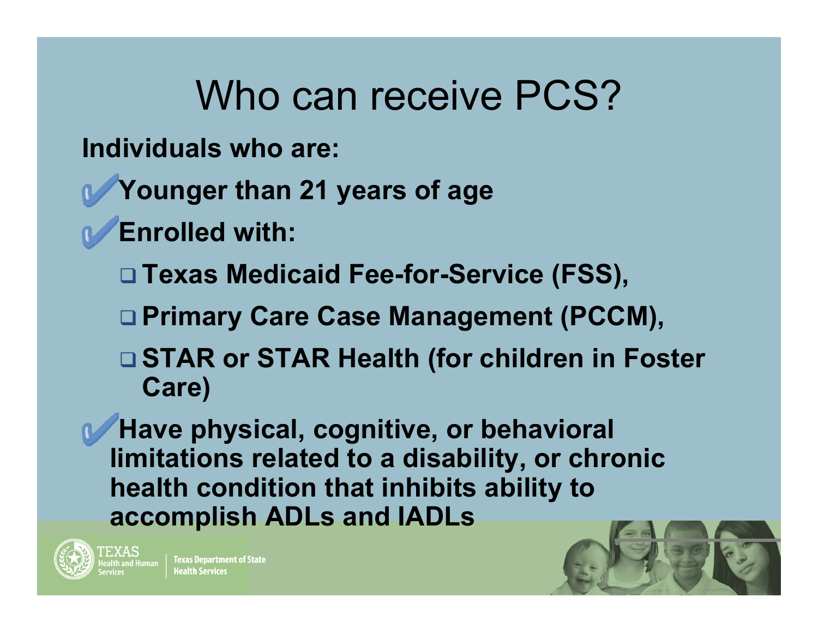#### Who can receive PCS?

**Individuals who are:**

- **Younger than 21 years of age**
- **Enrolled with:** 
	- **Texas Medicaid Fee-for-Service (FSS),**
	- **Primary Care Case Management (PCCM),**
	- **STAR or STAR Health (for children in Foster Care)**

**Have physical, cognitive, or behavioral limitations related to a disability, or chronic health condition that inhibits ability to accomplish ADLs and IADLs**



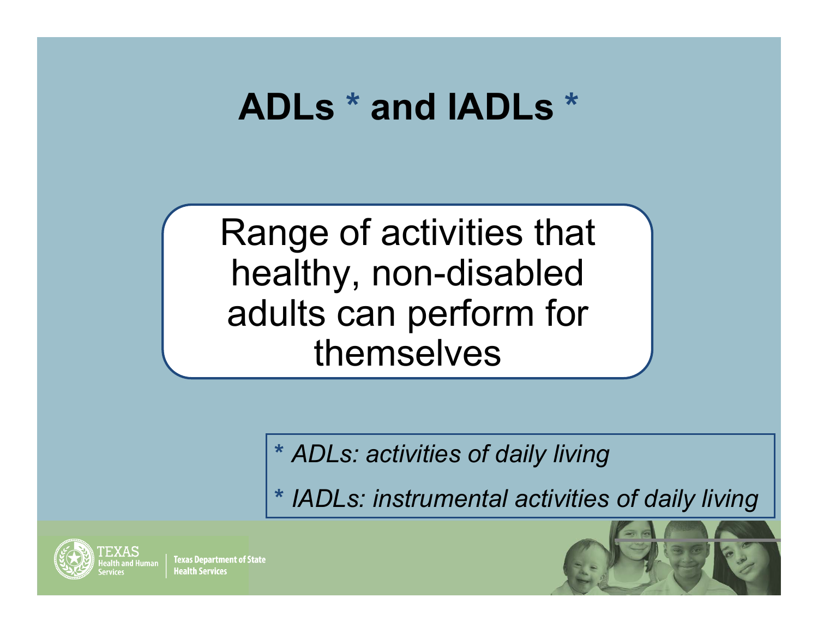#### **ADLs \* and IADLs \***

Range of activities that healthy, non-disabled adults can perform for themselves

**\*** *ADLs: activities of daily living* 

**\*** *IADLs: instrumental activities of daily living*



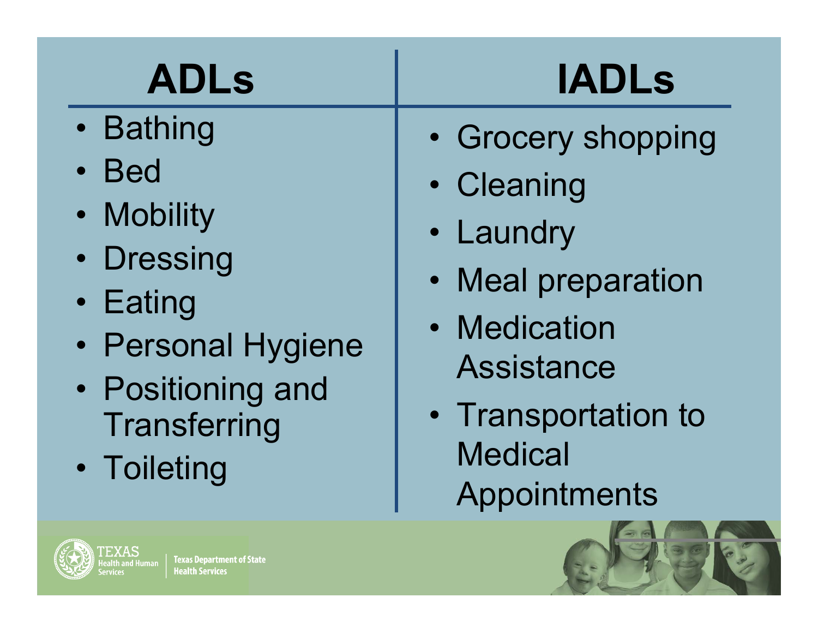| <b>ADLs</b>                                                                                                                             | <b>IADLs</b>                                                                                                                    |
|-----------------------------------------------------------------------------------------------------------------------------------------|---------------------------------------------------------------------------------------------------------------------------------|
| • Bathing<br><b>Bed</b><br>$\bullet$<br>• Mobility<br>• Dressing<br>• Eating<br>• Personal Hygiene<br>• Positioning and<br>Transferring | • Grocery shopping<br>• Cleaning<br>• Laundry<br>• Meal preparation<br>• Medication<br><b>Assistance</b><br>• Transportation to |
| • Toileting                                                                                                                             | <b>Medical</b><br>Appointments                                                                                                  |



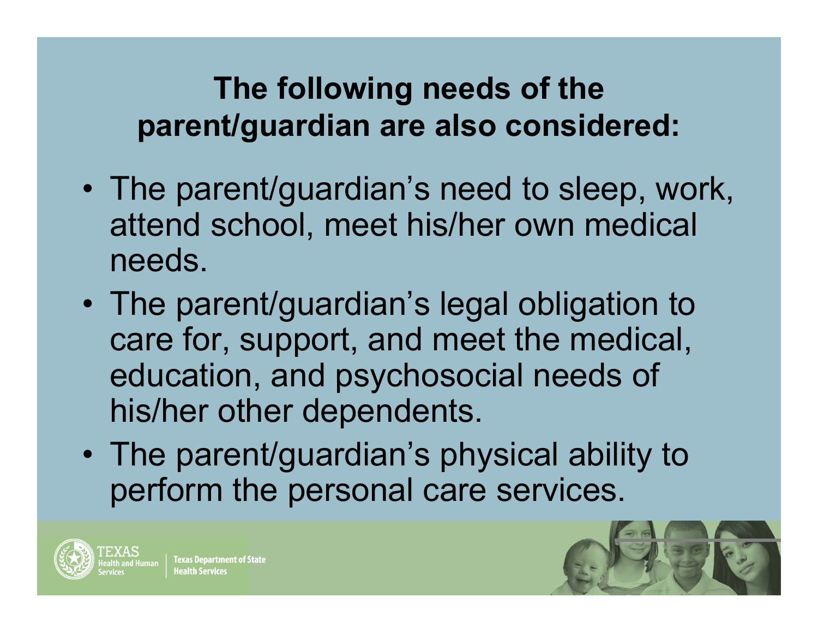#### **The following needs of the parent/guardian are also considered:**

- • The parent/guardian's need to sleep, work, attend school, meet his/her own medical needs.
- • The parent/guardian's legal obligation to care for, support, and meet the medical, education, and psychosocial needs of his/her other dependents.
- • The parent/guardian's physical ability to perform the personal care services.



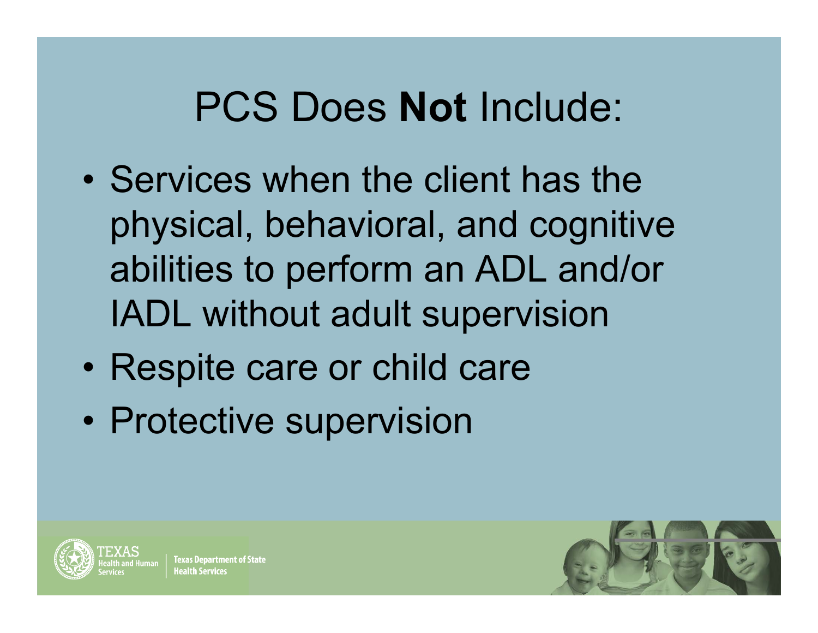## PCS Does **Not** Include:

- •• Services when the client has the physical, behavioral, and cognitive abilities to perform an ADL and/or IADL without adult supervision
- $\bullet$ • Respite care or child care
- $\bullet$ • Protective supervision



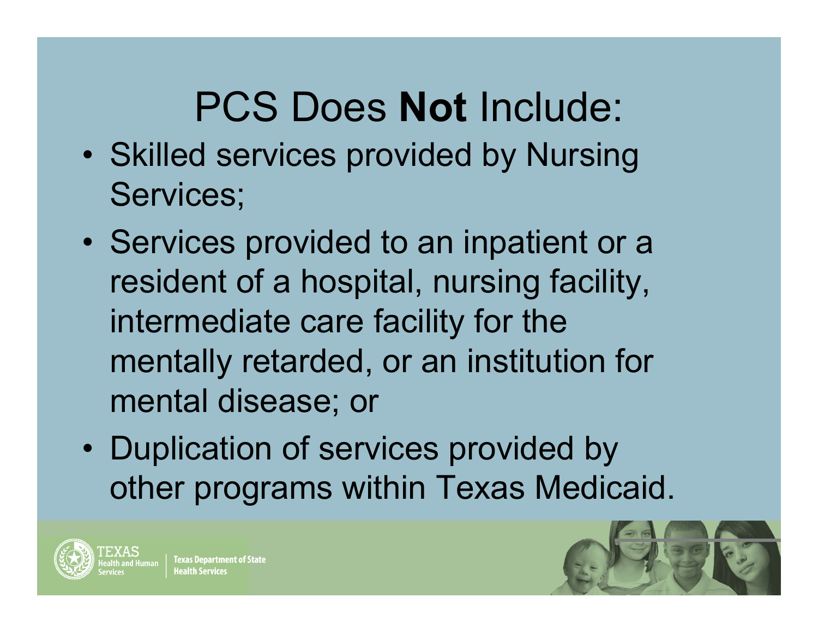# PCS Does **Not** Include:

- •• Skilled services provided by Nursing Services;
- •• Services provided to an inpatient or a resident of a hospital, nursing facility, intermediate care facility for the mentally retarded, or an institution for mental disease; or
- •• Duplication of services provided by other programs within Texas Medicaid.



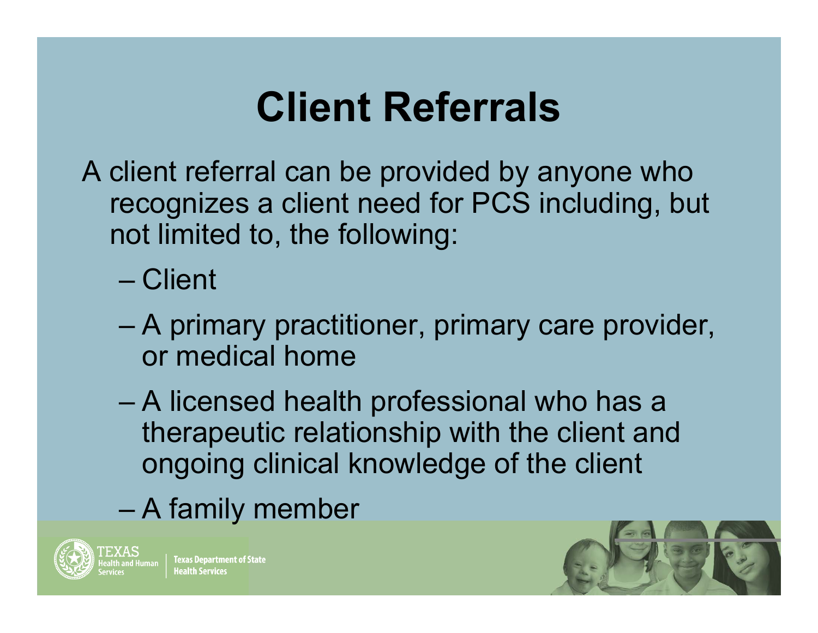## **Client Referrals**

A client referral can be provided by anyone who recognizes a client need for PCS including, but not limited to, the following:

– Client

- A primary practitioner, primary care provider, or medical home
- – A licensed health professional who has a therapeutic relationship with the client and ongoing clinical knowledge of the client
- –A family member



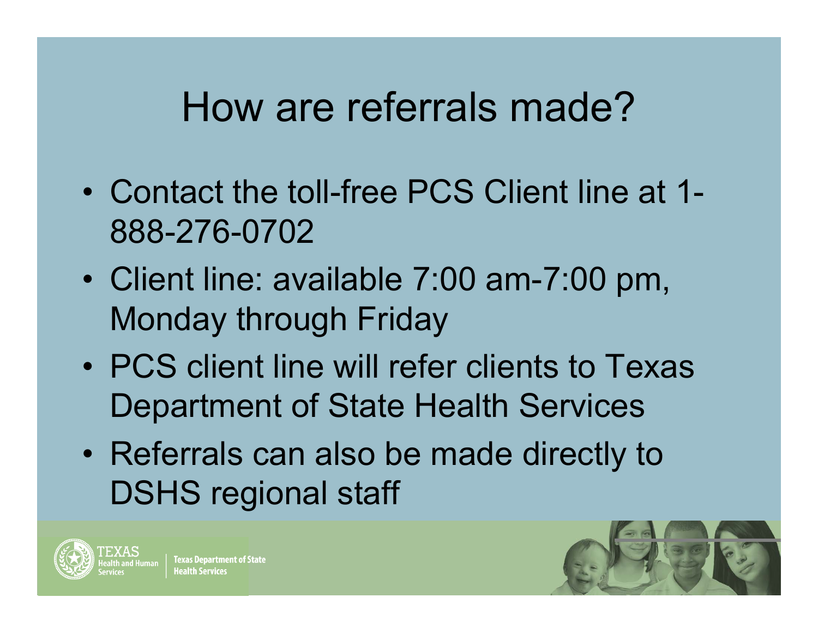#### How are referrals made?

- Contact the toll-free PCS Client line at 1- 888-276-0702
- • Client line: available 7:00 am-7:00 pm, Monday through Friday
- PCS client line will refer clients to Texas Department of State Health Services
- • Referrals can also be made directly to DSHS regional staff



**Texas Department of State** 

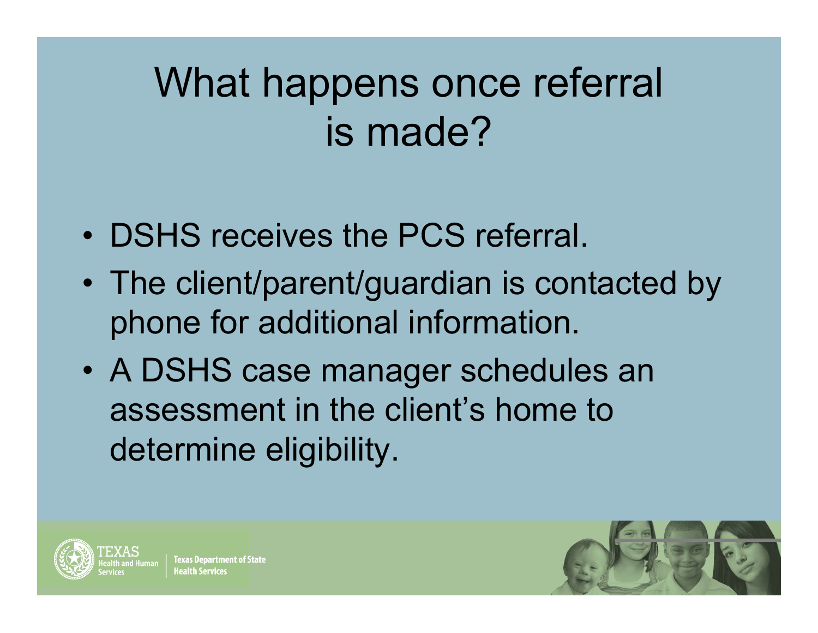# What happens once referral is made?

- DSHS receives the PCS referral.
- • The client/parent/guardian is contacted by phone for additional information.
- • A DSHS case manager schedules an assessment in the client's home to determine eligibility.



**Texas Department of State** 

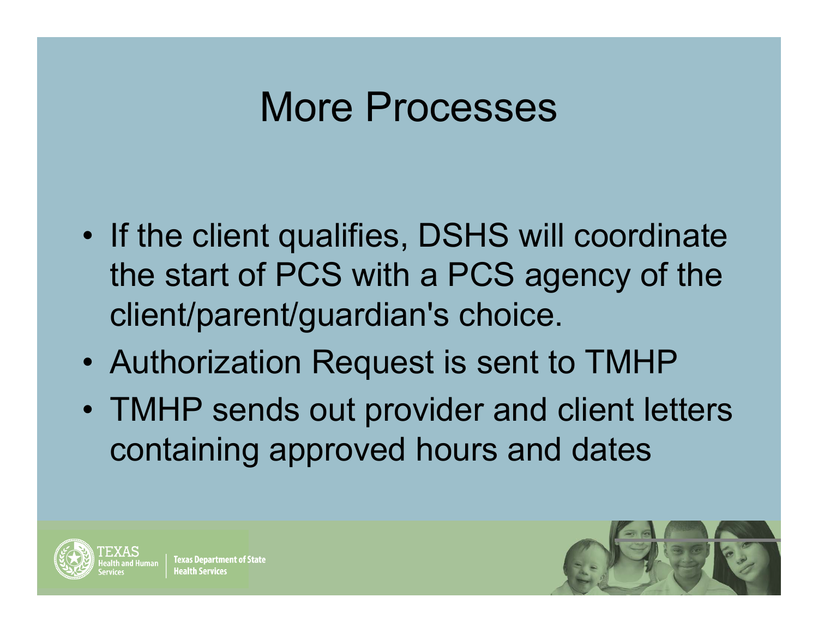#### More Processes

- •• If the client qualifies, DSHS will coordinate the start of PCS with a PCS agency of the client/parent/guardian's choice.
- Authorization Request is sent to TMHP
- TMHP sends out provider and client letters containing approved hours and dates



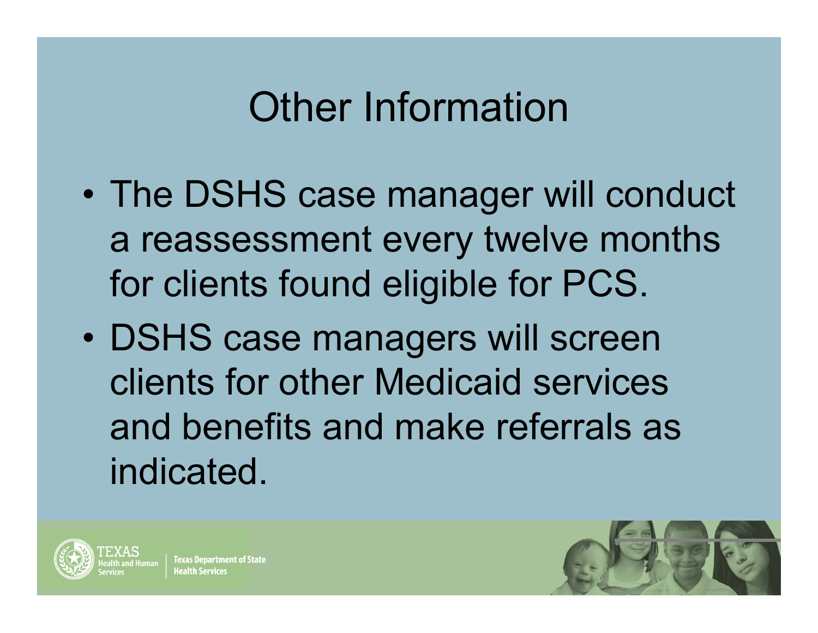## Other Information

- $\bullet$  The DSHS case manager will conduct a reassessment every twelve months for clients found eligible for PCS.
- $\bullet$  DSHS case managers will screen clients for other Medicaid services and benefits and make referrals as indicated.



lexas Department of State